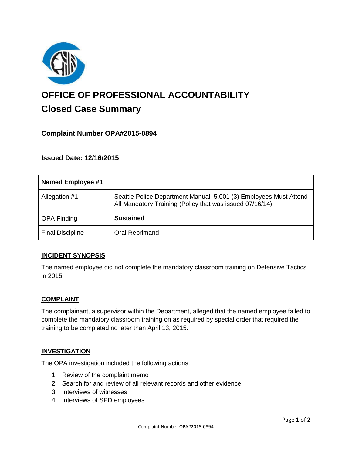

# **OFFICE OF PROFESSIONAL ACCOUNTABILITY Closed Case Summary**

# **Complaint Number OPA#2015-0894**

**Issued Date: 12/16/2015**

| Named Employee #1       |                                                                                                                              |
|-------------------------|------------------------------------------------------------------------------------------------------------------------------|
| Allegation #1           | Seattle Police Department Manual 5.001 (3) Employees Must Attend<br>All Mandatory Training (Policy that was issued 07/16/14) |
| <b>OPA Finding</b>      | <b>Sustained</b>                                                                                                             |
| <b>Final Discipline</b> | Oral Reprimand                                                                                                               |

# **INCIDENT SYNOPSIS**

The named employee did not complete the mandatory classroom training on Defensive Tactics in 2015.

# **COMPLAINT**

The complainant, a supervisor within the Department, alleged that the named employee failed to complete the mandatory classroom training on as required by special order that required the training to be completed no later than April 13, 2015.

#### **INVESTIGATION**

The OPA investigation included the following actions:

- 1. Review of the complaint memo
- 2. Search for and review of all relevant records and other evidence
- 3. Interviews of witnesses
- 4. Interviews of SPD employees